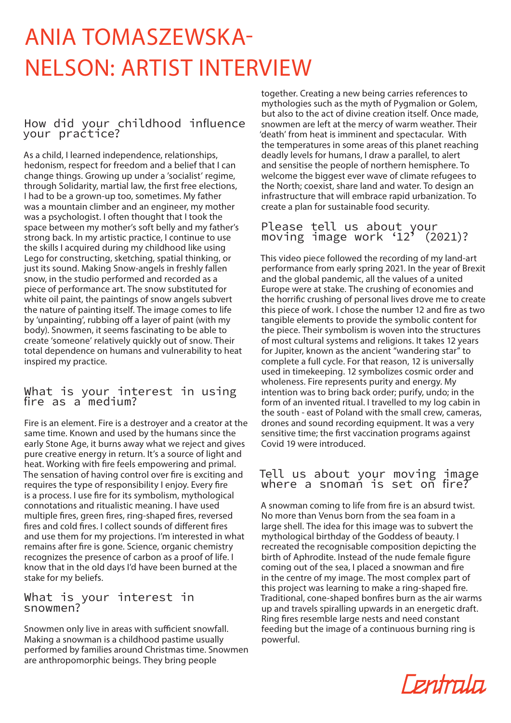# **NELSON: ARTIST INTERVIEW** ANIA TOMASZEWSKA-

# How did your childhood influence your practice?

As a child, I learned independence, relationships, hedonism, respect for freedom and a belief that I can change things. Growing up under a 'socialist' regime, through Solidarity, martial law, the first free elections, I had to be a grown-up too, sometimes. My father was a mountain climber and an engineer, my mother was a psychologist. I often thought that I took the space between my mother's soft belly and my father's strong back. In my artistic practice, I continue to use the skills I acquired during my childhood like using Lego for constructing, sketching, spatial thinking, or just its sound. Making Snow-angels in freshly fallen snow, in the studio performed and recorded as a piece of performance art. The snow substituted for white oil paint, the paintings of snow angels subvert the nature of painting itself. The image comes to life by 'unpainting', rubbing off a layer of paint (with my body). Snowmen, it seems fascinating to be able to create 'someone' relatively quickly out of snow. Their total dependence on humans and vulnerability to heat inspired my practice.

# what is your interest in using fire as a medium?

Fire is an element. Fire is a destroyer and a creator at the same time. Known and used by the humans since the early Stone Age, it burns away what we reject and gives pure creative energy in return. It's a source of light and heat. Working with fire feels empowering and primal. The sensation of having control over fire is exciting and requires the type of responsibility I enjoy. Every fire is a process. I use fire for its symbolism, mythological connotations and ritualistic meaning. I have used multiple fires, green fires, ring-shaped fires, reversed fires and cold fires. I collect sounds of different fires and use them for my projections. I'm interested in what remains after fire is gone. Science, organic chemistry recognizes the presence of carbon as a proof of life. I know that in the old days I'd have been burned at the stake for my beliefs.

### What is your interest in snowmen?

Snowmen only live in areas with sufficient snowfall. Making a snowman is a childhood pastime usually performed by families around Christmas time. Snowmen are anthropomorphic beings. They bring people

to gether. Creating a new being carries references to mythologies such as the myth of Pygmalion or Golem, but also to the act of divine creation itself. Once made, snowmen are left at the mercy of warm weather. Their 'death' from heat is imminent and spectacular. With the temperatures in some areas of this planet reaching deadly levels for humans, I draw a parallel, to alert and sensitise the people of northern hemisphere. To welcome the biggest ever wave of climate refugees to the North; coexist, share land and water. To design an infrastructure that will embrace rapid urbanization. To create a plan for sustainable food security.

Please tell us about your moving image work  $'12'$  (2021)?

This video piece followed the recording of my land-art performance from early spring 2021. In the year of Brexit and the global pandemic, all the values of a united Europe were at stake. The crushing of economies and the horrific crushing of personal lives drove me to create this piece of work. I chose the number 12 and fire as two tangible elements to provide the symbolic content for the piece. Their symbolism is woven into the structures of most cultural systems and religions. It takes 12 years for Jupiter, known as the ancient "wandering star" to complete a full cycle. For that reason, 12 is universally used in timekeeping. 12 symbolizes cosmic order and wholeness. Fire represents purity and energy. My intention was to bring back order; purify, undo; in the form of an invented ritual. I travelled to my log cabin in the south - east of Poland with the small crew, cameras, drones and sound recording equipment. It was a very sensitive time; the first vaccination programs against Covid 19 were introduced.

## Tell us about your moving image where a snoman is set on fire?  $\overline{\phantom{a}}$

A snowman coming to life from fire is an absurd twist. No more than Venus born from the sea foam in a large shell. The idea for this image was to subvert the mythological birthday of the Goddess of beauty. I recreated the recognisable composition depicting the birth of Aphrodite. Instead of the nude female figure coming out of the sea, I placed a snowman and fire in the centre of my image. The most complex part of this project was learning to make a ring-shaped fire. Traditional, cone-shaped bonfires burn as the air warms up and travels spiralling upwards in an energetic draft. Ring fires resemble large nests and need constant feeding but the image of a continuous burning ring is .powerful